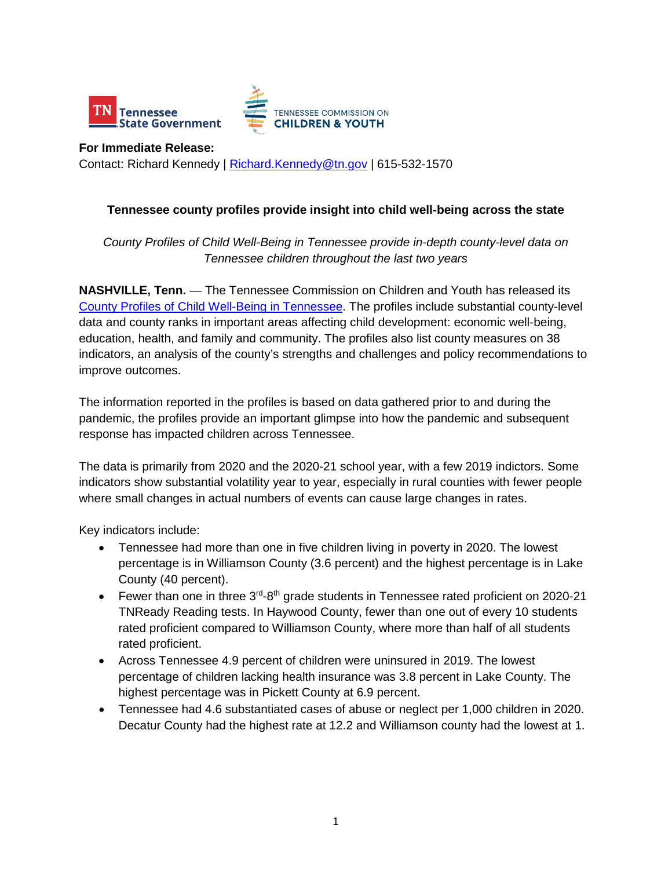

**For Immediate Release:**  Contact: Richard Kennedy | [Richard.Kennedy@tn.gov](mailto:Richard.Kennedy@tn.gov) | 615-532-1570

## **Tennessee county profiles provide insight into child well-being across the state**

## *County Profiles of Child Well-Being in Tennessee provide in-depth county-level data on Tennessee children throughout the last two years*

**NASHVILLE, Tenn.** — The Tennessee Commission on Children and Youth has released its [County Profiles of Child Well-Being in Tennessee.](http://www.tn.gov/tccy/countyprofiles) The profiles include substantial county-level data and county ranks in important areas affecting child development: economic well-being, education, health, and family and community. The profiles also list county measures on 38 indicators, an analysis of the county's strengths and challenges and policy recommendations to improve outcomes.

The information reported in the profiles is based on data gathered prior to and during the pandemic, the profiles provide an important glimpse into how the pandemic and subsequent response has impacted children across Tennessee.

The data is primarily from 2020 and the 2020-21 school year, with a few 2019 indictors. Some indicators show substantial volatility year to year, especially in rural counties with fewer people where small changes in actual numbers of events can cause large changes in rates.

Key indicators include:

- Tennessee had more than one in five children living in poverty in 2020. The lowest percentage is in Williamson County (3.6 percent) and the highest percentage is in Lake County (40 percent).
- Fewer than one in three  $3<sup>rd</sup>$ -8<sup>th</sup> grade students in Tennessee rated proficient on 2020-21 TNReady Reading tests. In Haywood County, fewer than one out of every 10 students rated proficient compared to Williamson County, where more than half of all students rated proficient.
- Across Tennessee 4.9 percent of children were uninsured in 2019. The lowest percentage of children lacking health insurance was 3.8 percent in Lake County. The highest percentage was in Pickett County at 6.9 percent.
- Tennessee had 4.6 substantiated cases of abuse or neglect per 1,000 children in 2020. Decatur County had the highest rate at 12.2 and Williamson county had the lowest at 1.